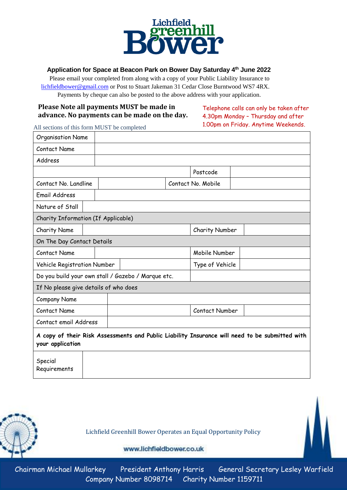

# **Application for Space at Beacon Park on Bower Day Saturday 4th June 2022**

 Please email your completed from along with a copy of your Public Liability Insurance to [lichfieldbower@gmail.com](mailto:lichfieldbower@gmail.com) or Post to Stuart Jakeman 31 Cedar Close Burntwood WS7 4RX. Payments by cheque can also be posted to the above address with your application.

## **Please Note all payments MUST be made in advance. No payments can be made on the day.**

Telephone calls can only be taken after 4.30pm Monday – Thursday and after 1.00pm on Friday. Anytime Weekends.

All sections of this form MUST be completed

| <b>Organisation Name</b>                                                                                           |  |                                                    |                    |                 |  |  |
|--------------------------------------------------------------------------------------------------------------------|--|----------------------------------------------------|--------------------|-----------------|--|--|
| Contact Name                                                                                                       |  |                                                    |                    |                 |  |  |
| Address                                                                                                            |  |                                                    |                    |                 |  |  |
|                                                                                                                    |  |                                                    |                    | Postcode        |  |  |
| Contact No. Landline                                                                                               |  |                                                    | Contact No. Mobile |                 |  |  |
| Email Address                                                                                                      |  |                                                    |                    |                 |  |  |
| Nature of Stall                                                                                                    |  |                                                    |                    |                 |  |  |
| Charity Information (If Applicable)                                                                                |  |                                                    |                    |                 |  |  |
| <b>Charity Name</b>                                                                                                |  |                                                    |                    | Charity Number  |  |  |
| On The Day Contact Details                                                                                         |  |                                                    |                    |                 |  |  |
| Contact Name                                                                                                       |  |                                                    |                    | Mobile Number   |  |  |
| Vehicle Registration Number                                                                                        |  |                                                    |                    | Type of Vehicle |  |  |
|                                                                                                                    |  | Do you build your own stall / Gazebo / Marque etc. |                    |                 |  |  |
| If No please give details of who does                                                                              |  |                                                    |                    |                 |  |  |
| <b>Company Name</b>                                                                                                |  |                                                    |                    |                 |  |  |
| <b>Contact Name</b>                                                                                                |  |                                                    |                    | Contact Number  |  |  |
| Contact email Address                                                                                              |  |                                                    |                    |                 |  |  |
| A copy of their Risk Assessments and Public Liability Insurance will need to be submitted with<br>your application |  |                                                    |                    |                 |  |  |
| Special<br>Requirements                                                                                            |  |                                                    |                    |                 |  |  |



Lichfield Greenhill Bower Operates an Equal Opportunity Policy

www.lichfieldbower.co.uk

Chairman Michael Mullarkey President Anthony Harris General Secretary Lesley Warfield Company Number 8098714 Charity Number 1159711